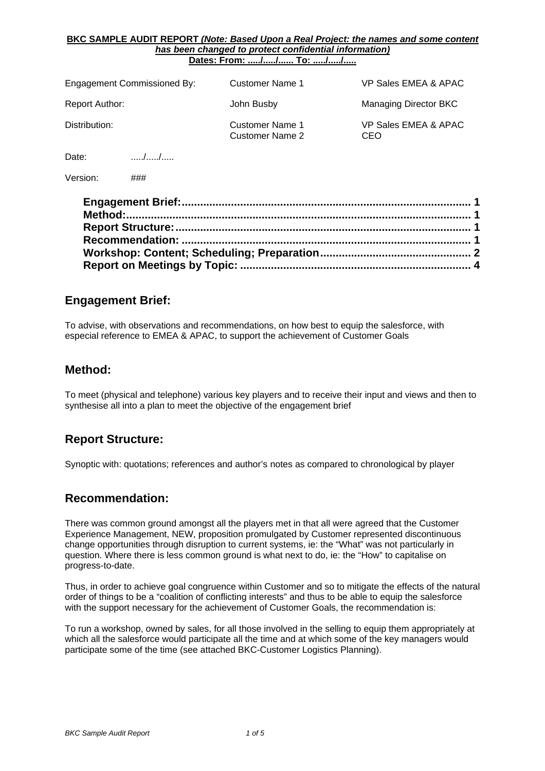#### **BKC SAMPLE AUDIT REPORT** *(Note: Based Upon a Real Project: the names and some content has been changed to protect confidential information)* **Dates: From: ...../...../...... To: ...../...../.....**

| Engagement Commissioned By:                             | Customer Name 1                           | VP Sales EMEA & APAC        |
|---------------------------------------------------------|-------------------------------------------|-----------------------------|
| Report Author:                                          | John Busby                                | Managing Director BKC       |
| Distribution:                                           | Customer Name 1<br><b>Customer Name 2</b> | VP Sales EMEA & APAC<br>CEO |
| $\left( \begin{array}{cc} \end{array} \right)$<br>Date: |                                           |                             |

Version: ###

## **Engagement Brief:**

To advise, with observations and recommendations, on how best to equip the salesforce, with especial reference to EMEA & APAC, to support the achievement of Customer Goals

### **Method:**

To meet (physical and telephone) various key players and to receive their input and views and then to synthesise all into a plan to meet the objective of the engagement brief

## **Report Structure:**

Synoptic with: quotations; references and author's notes as compared to chronological by player

### **Recommendation:**

There was common ground amongst all the players met in that all were agreed that the Customer Experience Management, NEW, proposition promulgated by Customer represented discontinuous change opportunities through disruption to current systems, ie: the "What" was not particularly in question. Where there is less common ground is what next to do, ie: the "How" to capitalise on progress-to-date.

Thus, in order to achieve goal congruence within Customer and so to mitigate the effects of the natural order of things to be a "coalition of conflicting interests" and thus to be able to equip the salesforce with the support necessary for the achievement of Customer Goals, the recommendation is:

To run a workshop, owned by sales, for all those involved in the selling to equip them appropriately at which all the salesforce would participate all the time and at which some of the key managers would participate some of the time (see attached BKC-Customer Logistics Planning).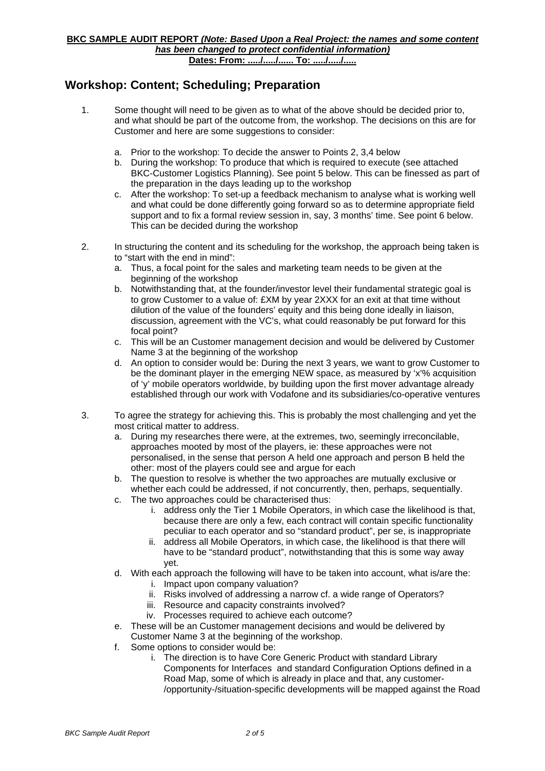# **Workshop: Content; Scheduling; Preparation**

- 1. Some thought will need to be given as to what of the above should be decided prior to, and what should be part of the outcome from, the workshop. The decisions on this are for Customer and here are some suggestions to consider:
	- a. Prior to the workshop: To decide the answer to Points 2, 3,4 below
	- b. During the workshop: To produce that which is required to execute (see attached BKC-Customer Logistics Planning). See point 5 below. This can be finessed as part of the preparation in the days leading up to the workshop
	- c. After the workshop: To set-up a feedback mechanism to analyse what is working well and what could be done differently going forward so as to determine appropriate field support and to fix a formal review session in, say, 3 months' time. See point 6 below. This can be decided during the workshop
- 2. In structuring the content and its scheduling for the workshop, the approach being taken is to "start with the end in mind":
	- a. Thus, a focal point for the sales and marketing team needs to be given at the beginning of the workshop
	- b. Notwithstanding that, at the founder/investor level their fundamental strategic goal is to grow Customer to a value of: £XM by year 2XXX for an exit at that time without dilution of the value of the founders' equity and this being done ideally in liaison, discussion, agreement with the VC's, what could reasonably be put forward for this focal point?
	- c. This will be an Customer management decision and would be delivered by Customer Name 3 at the beginning of the workshop
	- d. An option to consider would be: During the next 3 years, we want to grow Customer to be the dominant player in the emerging NEW space, as measured by 'x'% acquisition of 'y' mobile operators worldwide, by building upon the first mover advantage already established through our work with Vodafone and its subsidiaries/co-operative ventures
- 3. To agree the strategy for achieving this. This is probably the most challenging and yet the most critical matter to address.
	- a. During my researches there were, at the extremes, two, seemingly irreconcilable, approaches mooted by most of the players, ie: these approaches were not personalised, in the sense that person A held one approach and person B held the other: most of the players could see and argue for each
	- b. The question to resolve is whether the two approaches are mutually exclusive or whether each could be addressed, if not concurrently, then, perhaps, sequentially.
	- c. The two approaches could be characterised thus:
		- i. address only the Tier 1 Mobile Operators, in which case the likelihood is that, because there are only a few, each contract will contain specific functionality peculiar to each operator and so "standard product", per se, is inappropriate
		- ii. address all Mobile Operators, in which case, the likelihood is that there will have to be "standard product", notwithstanding that this is some way away yet.
	- d. With each approach the following will have to be taken into account, what is/are the:
		- i. Impact upon company valuation?
		- ii. Risks involved of addressing a narrow cf. a wide range of Operators?
		- iii. Resource and capacity constraints involved?
		- iv. Processes required to achieve each outcome?
	- e. These will be an Customer management decisions and would be delivered by Customer Name 3 at the beginning of the workshop.
	- f. Some options to consider would be:
		- i. The direction is to have Core Generic Product with standard Library Components for Interfaces and standard Configuration Options defined in a Road Map, some of which is already in place and that, any customer- /opportunity-/situation-specific developments will be mapped against the Road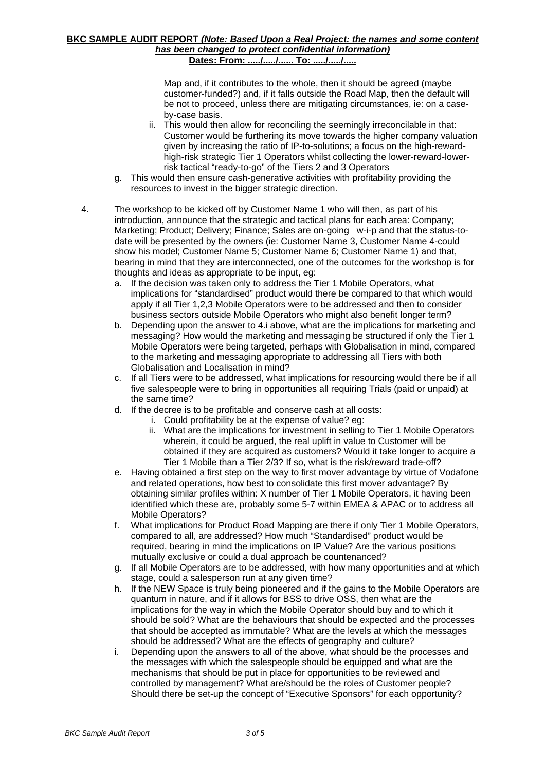#### **BKC SAMPLE AUDIT REPORT** *(Note: Based Upon a Real Project: the names and some content has been changed to protect confidential information)* **Dates: From: ...../...../...... To: ...../...../.....**

Map and, if it contributes to the whole, then it should be agreed (maybe customer-funded?) and, if it falls outside the Road Map, then the default will be not to proceed, unless there are mitigating circumstances, ie: on a caseby-case basis.

- ii. This would then allow for reconciling the seemingly irreconcilable in that: Customer would be furthering its move towards the higher company valuation given by increasing the ratio of IP-to-solutions; a focus on the high-rewardhigh-risk strategic Tier 1 Operators whilst collecting the lower-reward-lowerrisk tactical "ready-to-go" of the Tiers 2 and 3 Operators
- g. This would then ensure cash-generative activities with profitability providing the resources to invest in the bigger strategic direction.
- 4. The workshop to be kicked off by Customer Name 1 who will then, as part of his introduction, announce that the strategic and tactical plans for each area: Company; Marketing; Product; Delivery; Finance; Sales are on-going w-i-p and that the status-todate will be presented by the owners (ie: Customer Name 3, Customer Name 4-could show his model; Customer Name 5; Customer Name 6; Customer Name 1) and that, bearing in mind that they are interconnected, one of the outcomes for the workshop is for thoughts and ideas as appropriate to be input, eg:
	- a. If the decision was taken only to address the Tier 1 Mobile Operators, what implications for "standardised" product would there be compared to that which would apply if all Tier 1,2,3 Mobile Operators were to be addressed and then to consider business sectors outside Mobile Operators who might also benefit longer term?
	- b. Depending upon the answer to 4.i above, what are the implications for marketing and messaging? How would the marketing and messaging be structured if only the Tier 1 Mobile Operators were being targeted, perhaps with Globalisation in mind, compared to the marketing and messaging appropriate to addressing all Tiers with both Globalisation and Localisation in mind?
	- c. If all Tiers were to be addressed, what implications for resourcing would there be if all five salespeople were to bring in opportunities all requiring Trials (paid or unpaid) at the same time?
	- d. If the decree is to be profitable and conserve cash at all costs:
		- i. Could profitability be at the expense of value? eg:
		- ii. What are the implications for investment in selling to Tier 1 Mobile Operators wherein, it could be argued, the real uplift in value to Customer will be obtained if they are acquired as customers? Would it take longer to acquire a Tier 1 Mobile than a Tier 2/3? If so, what is the risk/reward trade-off?
	- e. Having obtained a first step on the way to first mover advantage by virtue of Vodafone and related operations, how best to consolidate this first mover advantage? By obtaining similar profiles within: X number of Tier 1 Mobile Operators, it having been identified which these are, probably some 5-7 within EMEA & APAC or to address all Mobile Operators?
	- f. What implications for Product Road Mapping are there if only Tier 1 Mobile Operators, compared to all, are addressed? How much "Standardised" product would be required, bearing in mind the implications on IP Value? Are the various positions mutually exclusive or could a dual approach be countenanced?
	- g. If all Mobile Operators are to be addressed, with how many opportunities and at which stage, could a salesperson run at any given time?
	- h. If the NEW Space is truly being pioneered and if the gains to the Mobile Operators are quantum in nature, and if it allows for BSS to drive OSS, then what are the implications for the way in which the Mobile Operator should buy and to which it should be sold? What are the behaviours that should be expected and the processes that should be accepted as immutable? What are the levels at which the messages should be addressed? What are the effects of geography and culture?
	- i. Depending upon the answers to all of the above, what should be the processes and the messages with which the salespeople should be equipped and what are the mechanisms that should be put in place for opportunities to be reviewed and controlled by management? What are/should be the roles of Customer people? Should there be set-up the concept of "Executive Sponsors" for each opportunity?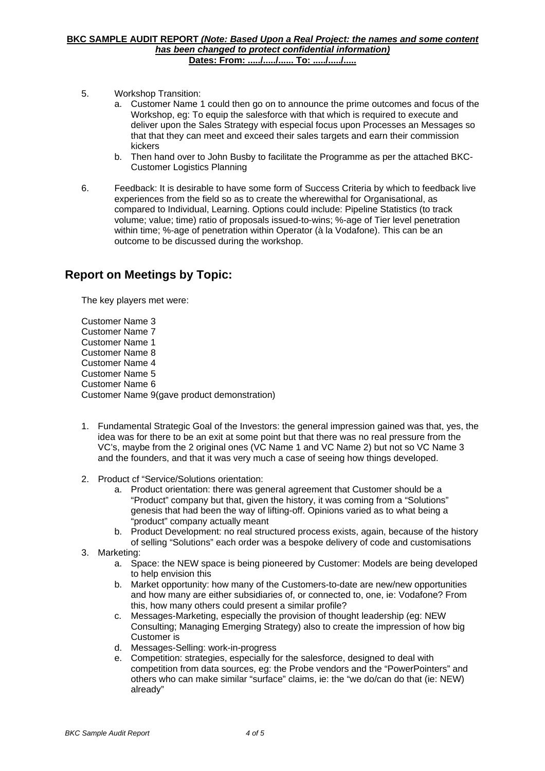- 5. Workshop Transition:
	- a. Customer Name 1 could then go on to announce the prime outcomes and focus of the Workshop, eg: To equip the salesforce with that which is required to execute and deliver upon the Sales Strategy with especial focus upon Processes an Messages so that that they can meet and exceed their sales targets and earn their commission kickers
	- b. Then hand over to John Busby to facilitate the Programme as per the attached BKC-Customer Logistics Planning
- 6. Feedback: It is desirable to have some form of Success Criteria by which to feedback live experiences from the field so as to create the wherewithal for Organisational, as compared to Individual, Learning. Options could include: Pipeline Statistics (to track volume; value; time) ratio of proposals issued-to-wins; %-age of Tier level penetration within time; %-age of penetration within Operator (à la Vodafone). This can be an outcome to be discussed during the workshop.

# **Report on Meetings by Topic:**

The key players met were:

Customer Name 3 Customer Name 7 Customer Name 1 Customer Name 8 Customer Name 4 Customer Name 5 Customer Name 6 Customer Name 9(gave product demonstration)

- 1. Fundamental Strategic Goal of the Investors: the general impression gained was that, yes, the idea was for there to be an exit at some point but that there was no real pressure from the VC's, maybe from the 2 original ones (VC Name 1 and VC Name 2) but not so VC Name 3 and the founders, and that it was very much a case of seeing how things developed.
- 2. Product cf "Service/Solutions orientation:
	- a. Product orientation: there was general agreement that Customer should be a "Product" company but that, given the history, it was coming from a "Solutions" genesis that had been the way of lifting-off. Opinions varied as to what being a "product" company actually meant
	- b. Product Development: no real structured process exists, again, because of the history of selling "Solutions" each order was a bespoke delivery of code and customisations
- 3. Marketing:
	- a. Space: the NEW space is being pioneered by Customer: Models are being developed to help envision this
	- b. Market opportunity: how many of the Customers-to-date are new/new opportunities and how many are either subsidiaries of, or connected to, one, ie: Vodafone? From this, how many others could present a similar profile?
	- c. Messages-Marketing, especially the provision of thought leadership (eg: NEW Consulting; Managing Emerging Strategy) also to create the impression of how big Customer is
	- d. Messages-Selling: work-in-progress
	- e. Competition: strategies, especially for the salesforce, designed to deal with competition from data sources, eg: the Probe vendors and the "PowerPointers" and others who can make similar "surface" claims, ie: the "we do/can do that (ie: NEW) already"